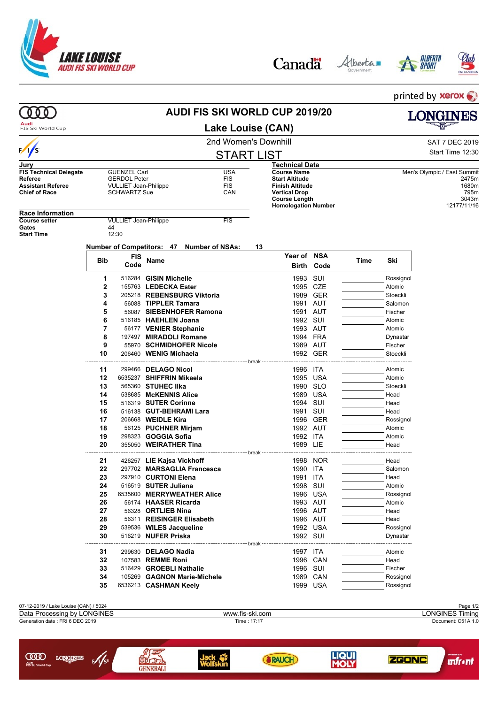







printed by xerox **AUDI FIS SKI WORLD CUP 2019/20**  $000$ **LONGINES** Audi<br>FIS Ski World Cup **Lake Louise (CAN)** 2nd Women's Downhill and Satisfacture of the SAT 7 DEC 2019  $\frac{1}{s}$ Start Time 12:30 START LIST **Jury Technical Data FIS Technical Delegate** GUENZEL Carl **COUNTER COUNTER STEED GERDOL Peter** FIS<br>
Referee GERDOL Peter FIS **Course Name** Men's Olympic / East Summit<br> **Start Altitude** 2475m **Referee** GERDOL Peter FIS **Start Altitude** 2475m<br>**Finish Altitude** 2475m<br>1680m **Assistant Referee** VULLIET Jean-Philippe FIS **Finish Altitude** 1680m<br> **1680m**<br>
1795m **SCHWARTZ Sue Vertical Drop** 795m **Course Length 3043m**<br> **Homologation Number** 3043m<br> **Homologation Number** 312177/11/16 **Homologation Number Race Information COULLIET Jean-Philippe FIS** Gates 44<br>Start Time 12:30 **Start Time Number of Competitors: 47 Number of NSAs: 13 Year of NSA Bib FIS Code Name Time Ski Birth Code 1** 516284 **GISIN Michelle** 1993 SUI Rossignol **2** 155763 LEDECKA Ester **1995 CZE** Atomic **3** 205218 **REBENSBURG Viktoria** 1989 GER Stoeckli **4** 56088 **TIPPLER Tamara** 1991 AUT Salomon **5** 56087 **SIEBENHOFER Ramona** 1991 AUT Fischer **6** 516185 **HAEHLEN Joana** 1992 SUI **Atomic** Atomic **7** 56177 **VENIER Stephanie** 1993 AUT Atomic **8** 197497 **MIRADOLI Romane** 1994 FRA Dynastar **9** 55970 **SCHMIDHOFER Nicole** 1989 AUT Fischer **10 206460 WENIG Michaela** 1992 GER Stoeckli break **11** 299466 **DELAGO Nicol** 1996 ITA Atomic **12** 6535237 **SHIFFRIN Mikaela** 1995 USA **Atomic** Atomic **13** 565360 **STUHEC IIka** 1990 SLO Stoeckli **14** 538685 McKENNIS Alice **1989 USA** Head **15** 516319 **SUTER Corinne** 1994 SUI **1994 SUI Head Head All Head All Head In the Superior Section 1991 SUI Head Head 16** 516138 **GUT-BEHRAMI Lara** 1991 SUI **Head 17** 206668 WEIDLE Kira 1996 GER Rossignol **18** 56125 **PUCHNER Mirjam** 1992 AUT **1992 AUT** Atomic 1992 AUT Atomic 1992 AUT **19** 298323 **GOGGIA Sofia** 1992 ITA **1992** ITA Atomic **20** 355050 **WEIRATHER Tina 1989 LIE Head** Head -----------break **21** 426257 **LIE Kajsa Vickhoff** 1998 NOR Head **22** 297702 **MARSAGLIA Francesca** 1990 ITA Salomon **23** 297910 **CURTONI Elena** 1991 ITA Head **24** 516519 **SUTER Juliana** 1998 SUI Atomic **25** 6535600 **MERRYWEATHER Alice** 1996 USA Rossignol **26** 56174 **HAASER Ricarda** 1993 AUT Atomic **27** 56328 **ORTLIEB Nina** 1996 AUT <del>2006 10:00 Head</del> 28 56311 REISINGER Elisabeth 1996 AUT 28 Head **28** 56311 **REISINGER Elisabeth** 1996 AUT Head **29 539536 WILES Jacqueline 1992 USA Rossignol 30** 516219 **NUFER Priska** 1992 SUI Dynastar ....... hraak ......... **31 299630 DELAGO Nadia** 1997 ITA Atomic **32** 107583 **REMME Roni** 1996 CAN Head **33** 516429 **GROEBLI Nathalie** 1996 SUI Fischer **34 105269 GAGNON Marie-Michele** 1989 CAN Rossignol **35** 6536213 **CASHMAN Keelv Case 1999 USA** Rossignol 07-12-2019 / Lake Louise (CAN) / 5024 Page 1/2 Data Processing by LONGINES **Example 2018** www.fis-ski.com **LONGINES Timing**